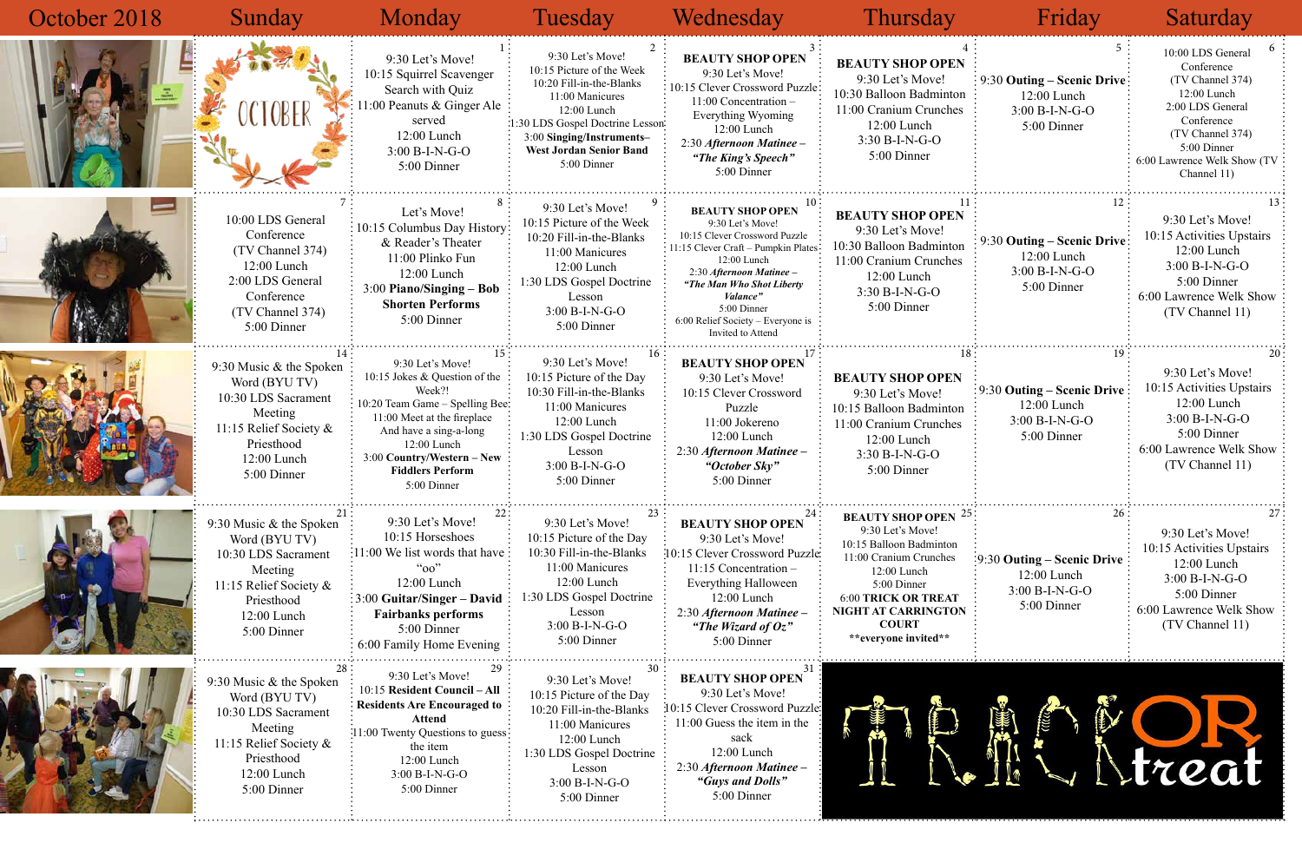| October 2018 | Sunday                                                                                                                                           | Monday                                                                                                                                                                                                                                         | Tuesday                                                                                                                                                                                                                        | Wednesday                                                                                                                                                                                                                                                                                | Thursday                                                                                                                                                                                                                       | Friday                                                                                         | Saturday                                                                                                                                                                              |
|--------------|--------------------------------------------------------------------------------------------------------------------------------------------------|------------------------------------------------------------------------------------------------------------------------------------------------------------------------------------------------------------------------------------------------|--------------------------------------------------------------------------------------------------------------------------------------------------------------------------------------------------------------------------------|------------------------------------------------------------------------------------------------------------------------------------------------------------------------------------------------------------------------------------------------------------------------------------------|--------------------------------------------------------------------------------------------------------------------------------------------------------------------------------------------------------------------------------|------------------------------------------------------------------------------------------------|---------------------------------------------------------------------------------------------------------------------------------------------------------------------------------------|
|              | OCTOBER                                                                                                                                          | 9:30 Let's Move!<br>10:15 Squirrel Scavenger<br>Search with Quiz<br>1:00 Peanuts & Ginger Ale<br>served<br>12:00 Lunch<br>$3:00 B-I-N-G-O$<br>5:00 Dinner                                                                                      | 9:30 Let's Move!<br>10:15 Picture of the Week<br>10:20 Fill-in-the-Blanks<br>11:00 Manicures<br>12:00 Lunch<br>:1:30 LDS Gospel Doctrine Lesson:<br>3:00 Singing/Instruments-<br><b>West Jordan Senior Band</b><br>5:00 Dinner | <b>BEAUTY SHOP OPEN</b><br>9:30 Let's Move!<br>10:15 Clever Crossword Puzzle<br>11:00 Concentration -<br>Everything Wyoming<br>12:00 Lunch<br>2:30 Afternoon Matinee -<br>"The King's Speech"<br>5:00 Dinner                                                                             | <b>BEAUTY SHOP OPEN</b><br>9:30 Let's Move!<br>10:30 Balloon Badminton<br>11:00 Cranium Crunches<br>$12:00$ Lunch<br>$3:30 B-I-N-G-O$<br>5:00 Dinner                                                                           | $\frac{1}{2}$ 9:30 Outing – Scenic Drive<br>12:00 Lunch<br>3:00 B-I-N-G-O<br>5:00 Dinner       | 10:00 LDS General<br>Conference<br>(TV Channel 374)<br>12:00 Lunch<br>2:00 LDS General<br>Conference<br>(TV Channel 374)<br>5:00 Dinner<br>6:00 Lawrence Welk Show (TV<br>Channel 11) |
|              | 10:00 LDS General<br>Conference<br>(TV Channel 374)<br>12:00 Lunch<br>2:00 LDS General<br>Conference<br>(TV Channel 374)<br>5:00 Dinner          | Let's Move!<br>10:15 Columbus Day History:<br>& Reader's Theater<br>11:00 Plinko Fun<br>12:00 Lunch<br>$3:00$ Piano/Singing – Bob<br><b>Shorten Performs</b><br>5:00 Dinner                                                                    | 9:30 Let's Move!<br>10:15 Picture of the Week<br>10:20 Fill-in-the-Blanks<br>11:00 Manicures<br>$12:00$ Lunch<br>:30 LDS Gospel Doctrine<br>Lesson<br>$3:00 B-I-N-G-O$<br>5:00 Dinner                                          | <b>BEAUTY SHOP OPEN</b><br>9:30 Let's Move!<br>10:15 Clever Crossword Puzzle<br>11:15 Clever Craft - Pumpkin Plates<br>12:00 Lunch<br>2:30 Afternoon Matinee -<br>"The Man Who Shot Liberty<br><i>Valance</i> "<br>5:00 Dinner<br>6:00 Relief Society - Everyone is<br>Invited to Attend | <b>BEAUTY SHOP OPEN</b><br>9:30 Let's Move!<br>10:30 Balloon Badminton<br>11:00 Cranium Crunches<br>12:00 Lunch<br>$3:30 B-I-N-G-O$<br>5:00 Dinner                                                                             | 9:30 Outing - Scenic Drive:<br>12:00 Lunch<br>$3:00 B-I-N-G-O$<br>5:00 Dinner                  | 9:30 Let's Move!<br>10:15 Activities Upstairs<br>$12:00$ Lunch<br>3:00 B-I-N-G-O<br>5:00 Dinner<br>6:00 Lawrence Welk Show<br>(TV Channel 11)                                         |
|              | 9:30 Music & the Spoken<br>Word (BYU TV)<br>10:30 LDS Sacrament<br>Meeting<br>11:15 Relief Society &<br>Priesthood<br>12:00 Lunch<br>5:00 Dinner | 9:30 Let's Move!<br>10:15 Jokes & Question of the<br>Week?!<br>10:20 Team Game - Spelling Bee:<br>11:00 Meet at the fireplace<br>And have a sing-a-long<br>12:00 Lunch<br>3:00 Country/Western - New<br><b>Fiddlers Perform</b><br>5:00 Dinner | 9:30 Let's Move!<br>10:15 Picture of the Day<br>10:30 Fill-in-the-Blanks<br>11:00 Manicures<br>12:00 Lunch<br>:30 LDS Gospel Doctrine<br>Lesson<br>$3:00 B-I-N-G-O$<br>5:00 Dinner                                             | <b>BEAUTY SHOP OPEN</b><br>9:30 Let's Move!<br>10:15 Clever Crossword<br>Puzzle<br>11:00 Jokereno<br>12:00 Lunch<br>2:30 Afternoon Matinee -<br>"October Sky"<br>5:00 Dinner                                                                                                             | <b>BEAUTY SHOP OPEN</b><br>9:30 Let's Move!<br>10:15 Balloon Badminton<br>11:00 Cranium Crunches<br>12:00 Lunch<br>$3:30 B-I-N-G-O$<br>5:00 Dinner                                                                             | : 9:30 Outing – Scenic Drive:<br>$12:00$ Lunch<br>3:00 B-I-N-G-O<br>5:00 Dinner                | 9:30 Let's Move!<br>10:15 Activities Upstairs<br>12:00 Lunch<br>$3:00 B-I-N-G-O$<br>5:00 Dinner<br>6:00 Lawrence Welk Show<br>(TV Channel 11)                                         |
|              | 9:30 Music & the Spoken<br>Word (BYU TV)<br>10:30 LDS Sacrament<br>Meeting<br>11:15 Relief Society &<br>Priesthood<br>12:00 Lunch<br>5:00 Dinner | 9:30 Let's Move!<br>10:15 Horseshoes<br>:11:00 We list words that have<br>``oo"<br>12:00 Lunch<br>$\frac{1}{2}$ :00 Guitar/Singer – David<br><b>Fairbanks performs</b><br>5:00 Dinner<br>6:00 Family Home Evening                              | 9:30 Let's Move!<br>10:15 Picture of the Day<br>10:30 Fill-in-the-Blanks<br>11:00 Manicures<br>12:00 Lunch<br>1:30 LDS Gospel Doctrine<br>Lesson<br>3:00 B-I-N-G-O<br>5:00 Dinner                                              | <b>BEAUTY SHOP OPEN</b><br>9:30 Let's Move!<br>:10:15 Clever Crossword Puzzle<br>$11:15$ Concentration –<br>Everything Halloween<br>12:00 Lunch<br>2:30 Afternoon Matinee -<br>"The Wizard of $Oz$ "<br>5:00 Dinner                                                                      | <b>BEAUTY SHOP OPEN 25</b><br>9:30 Let's Move!<br>10:15 Balloon Badminton<br>11:00 Cranium Crunches<br>12:00 Lunch<br>5:00 Dinner<br><b>6:00 TRICK OR TREAT</b><br>NIGHT AT CARRINGTON<br><b>COURT</b><br>**everyone invited** | 26.<br>$\frac{1}{2}9:30$ Outing – Scenic Drive<br>12:00 Lunch<br>3:00 B-I-N-G-O<br>5:00 Dinner | 9:30 Let's Move!<br>10:15 Activities Upstairs<br>$12:00$ Lunch<br>$3:00 B-I-N-G-O$<br>5:00 Dinner<br>6:00 Lawrence Welk Show<br>(TV Channel 11)                                       |
|              | 9:30 Music & the Spoken<br>Word (BYU TV)<br>10:30 LDS Sacrament<br>Meeting<br>11:15 Relief Society &<br>Priesthood<br>12:00 Lunch<br>5:00 Dinner | 9:30 Let's Move!<br>10:15 Resident Council - All<br><b>Residents Are Encouraged to</b><br><b>Attend</b><br>:11:00 Twenty Questions to guess:<br>the item<br>12:00 Lunch<br>3:00 B-I-N-G-O<br>5:00 Dinner                                       | 9:30 Let's Move!<br>10:15 Picture of the Day<br>10:20 Fill-in-the-Blanks<br>11:00 Manicures<br>$12:00$ Lunch<br>1:30 LDS Gospel Doctrine<br>Lesson<br>3:00 B-I-N-G-O<br>5:00 Dinner                                            | <b>BEAUTY SHOP OPEN</b><br>9:30 Let's Move!<br>10:15 Clever Crossword Puzzle:<br>$11:00$ Guess the item in the<br>sack<br>12:00 Lunch<br>2:30 Afternoon Matinee -<br>"Guys and Dolls"<br>5:00 Dinner                                                                                     |                                                                                                                                                                                                                                |                                                                                                | <i>regi</i>                                                                                                                                                                           |